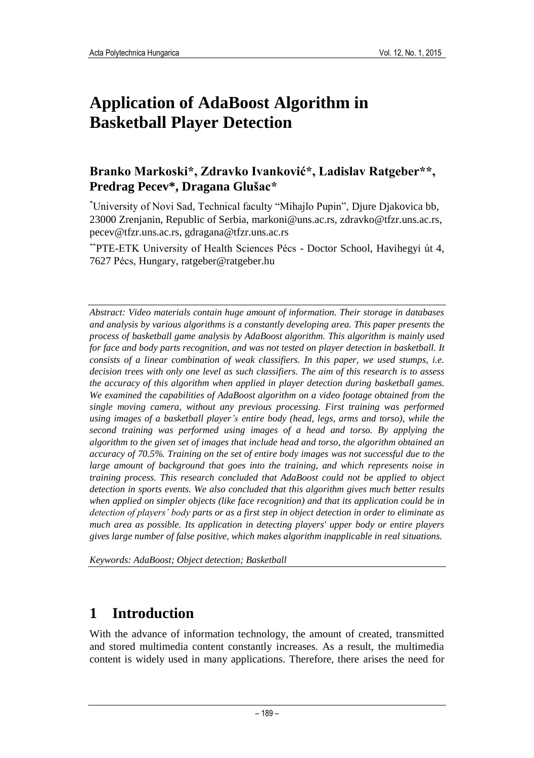# **Application of AdaBoost Algorithm in Basketball Player Detection**

### **Branko Markoski\*, Zdravko Ivanković\*, Ladislav Ratgeber\*\*, Predrag Pecev\*, Dragana Glušac\***

\*University of Novi Sad, Technical faculty "Mihajlo Pupin", Djure Djakovica bb, 23000 Zrenjanin, Republic of Serbia, [markoni@uns.ac.rs,](mailto:markoni@uns.ac.rs) [zdravko@tfzr.uns.ac.rs,](mailto:zdravko@tfzr.uns.ac.rs) [pecev@tfzr.uns.ac.rs,](mailto:pecev@tfzr.uns.ac.rs) [gdragana@tfzr.uns.ac.rs](mailto:gdragana@tfzr.uns.ac.rs)

\*\*PTE-ETK University of Health Sciences Pécs - Doctor School, Havihegyi út 4, 7627 Pécs, Hungary, ratgeber@ratgeber.hu

*Abstract: Video materials contain huge amount of information. Their storage in databases and analysis by various algorithms is a constantly developing area. This paper presents the process of basketball game analysis by AdaBoost algorithm. This algorithm is mainly used for face and body parts recognition, and was not tested on player detection in basketball. It consists of a linear combination of weak classifiers. In this paper, we used stumps, i.e. decision trees with only one level as such classifiers. The aim of this research is to assess the accuracy of this algorithm when applied in player detection during basketball games. We examined the capabilities of AdaBoost algorithm on a video footage obtained from the single moving camera, without any previous processing. First training was performed using images of a basketball player's entire body (head, legs, arms and torso), while the second training was performed using images of a head and torso. By applying the algorithm to the given set of images that include head and torso, the algorithm obtained an accuracy of 70.5%. Training on the set of entire body images was not successful due to the large amount of background that goes into the training, and which represents noise in training process. This research concluded that AdaBoost could not be applied to object detection in sports events. We also concluded that this algorithm gives much better results when applied on simpler objects (like face recognition) and that its application could be in detection of players' body parts or as a first step in object detection in order to eliminate as much area as possible. Its application in detecting players' upper body or entire players gives large number of false positive, which makes algorithm inapplicable in real situations.* 

*Keywords: AdaBoost; Object detection; Basketball*

## **1 Introduction**

With the advance of information technology, the amount of created, transmitted and stored multimedia content constantly increases. As a result, the multimedia content is widely used in many applications. Therefore, there arises the need for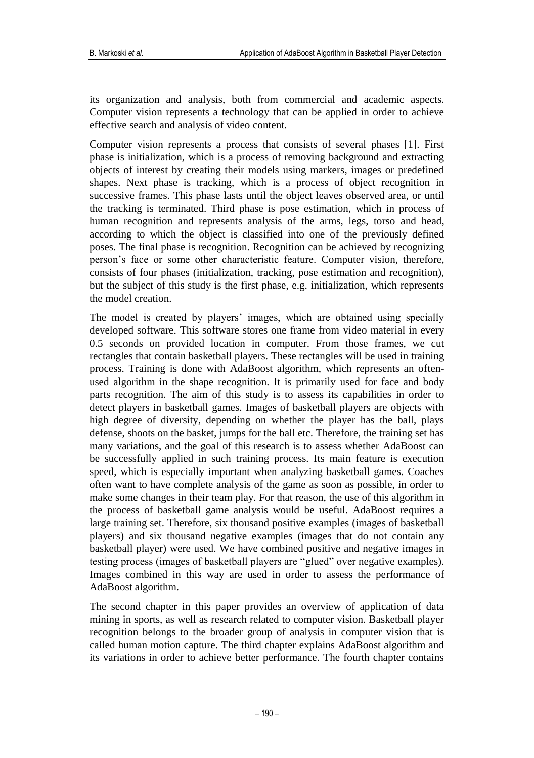its organization and analysis, both from commercial and academic aspects. Computer vision represents a technology that can be applied in order to achieve effective search and analysis of video content.

Computer vision represents a process that consists of several phases [1]. First phase is initialization, which is a process of removing background and extracting objects of interest by creating their models using markers, images or predefined shapes. Next phase is tracking, which is a process of object recognition in successive frames. This phase lasts until the object leaves observed area, or until the tracking is terminated. Third phase is pose estimation, which in process of human recognition and represents analysis of the arms, legs, torso and head, according to which the object is classified into one of the previously defined poses. The final phase is recognition. Recognition can be achieved by recognizing person's face or some other characteristic feature. Computer vision, therefore, consists of four phases (initialization, tracking, pose estimation and recognition), but the subject of this study is the first phase, e.g. initialization, which represents the model creation.

The model is created by players' images, which are obtained using specially developed software. This software stores one frame from video material in every 0.5 seconds on provided location in computer. From those frames, we cut rectangles that contain basketball players. These rectangles will be used in training process. Training is done with AdaBoost algorithm, which represents an oftenused algorithm in the shape recognition. It is primarily used for face and body parts recognition. The aim of this study is to assess its capabilities in order to detect players in basketball games. Images of basketball players are objects with high degree of diversity, depending on whether the player has the ball, plays defense, shoots on the basket, jumps for the ball etc. Therefore, the training set has many variations, and the goal of this research is to assess whether AdaBoost can be successfully applied in such training process. Its main feature is execution speed, which is especially important when analyzing basketball games. Coaches often want to have complete analysis of the game as soon as possible, in order to make some changes in their team play. For that reason, the use of this algorithm in the process of basketball game analysis would be useful. AdaBoost requires a large training set. Therefore, six thousand positive examples (images of basketball players) and six thousand negative examples (images that do not contain any basketball player) were used. We have combined positive and negative images in testing process (images of basketball players are "glued" over negative examples). Images combined in this way are used in order to assess the performance of AdaBoost algorithm.

The second chapter in this paper provides an overview of application of data mining in sports, as well as research related to computer vision. Basketball player recognition belongs to the broader group of analysis in computer vision that is called human motion capture. The third chapter explains AdaBoost algorithm and its variations in order to achieve better performance. The fourth chapter contains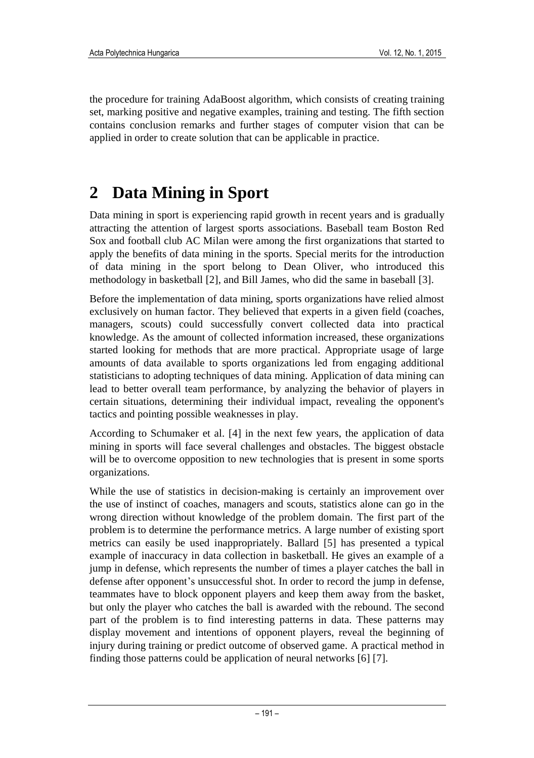the procedure for training AdaBoost algorithm, which consists of creating training set, marking positive and negative examples, training and testing. The fifth section contains conclusion remarks and further stages of computer vision that can be applied in order to create solution that can be applicable in practice.

# **2 Data Mining in Sport**

Data mining in sport is experiencing rapid growth in recent years and is gradually attracting the attention of largest sports associations. Baseball team Boston Red Sox and football club AC Milan were among the first organizations that started to apply the benefits of data mining in the sports. Special merits for the introduction of data mining in the sport belong to Dean Oliver, who introduced this methodology in basketball [2], and Bill James, who did the same in baseball [3].

Before the implementation of data mining, sports organizations have relied almost exclusively on human factor. They believed that experts in a given field (coaches, managers, scouts) could successfully convert collected data into practical knowledge. As the amount of collected information increased, these organizations started looking for methods that are more practical. Appropriate usage of large amounts of data available to sports organizations led from engaging additional statisticians to adopting techniques of data mining. Application of data mining can lead to better overall team performance, by analyzing the behavior of players in certain situations, determining their individual impact, revealing the opponent's tactics and pointing possible weaknesses in play.

According to Schumaker et al. [4] in the next few years, the application of data mining in sports will face several challenges and obstacles. The biggest obstacle will be to overcome opposition to new technologies that is present in some sports organizations.

While the use of statistics in decision-making is certainly an improvement over the use of instinct of coaches, managers and scouts, statistics alone can go in the wrong direction without knowledge of the problem domain. The first part of the problem is to determine the performance metrics. A large number of existing sport metrics can easily be used inappropriately. Ballard [5] has presented a typical example of inaccuracy in data collection in basketball. He gives an example of a jump in defense, which represents the number of times a player catches the ball in defense after opponent's unsuccessful shot. In order to record the jump in defense, teammates have to block opponent players and keep them away from the basket, but only the player who catches the ball is awarded with the rebound. The second part of the problem is to find interesting patterns in data. These patterns may display movement and intentions of opponent players, reveal the beginning of injury during training or predict outcome of observed game. A practical method in finding those patterns could be application of neural networks [6] [7].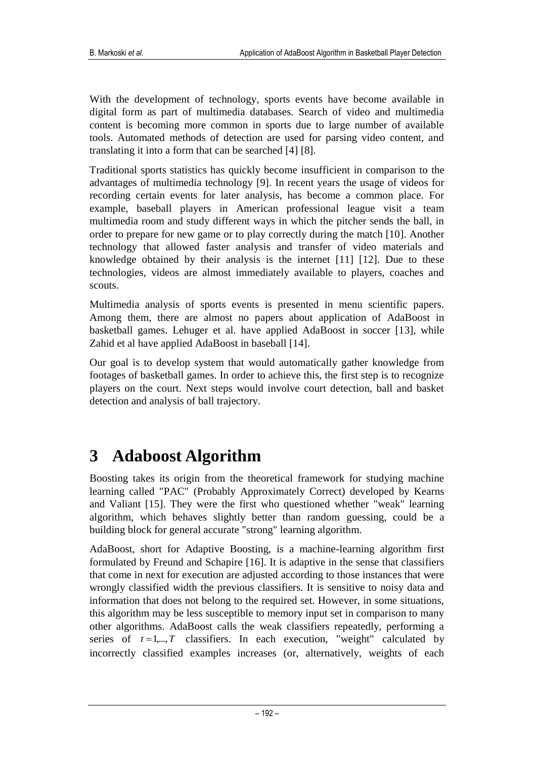With the development of technology, sports events have become available in digital form as part of multimedia databases. Search of video and multimedia content is becoming more common in sports due to large number of available tools. Automated methods of detection are used for parsing video content, and translating it into a form that can be searched [4] [8].

Traditional sports statistics has quickly become insufficient in comparison to the advantages of multimedia technology [9]. In recent years the usage of videos for recording certain events for later analysis, has become a common place. For example, baseball players in American professional league visit a team multimedia room and study different ways in which the pitcher sends the ball, in order to prepare for new game or to play correctly during the match [10]. Another technology that allowed faster analysis and transfer of video materials and knowledge obtained by their analysis is the internet  $[11]$   $[12]$ . Due to these technologies, videos are almost immediately available to players, coaches and scouts.

Multimedia analysis of sports events is presented in menu scientific papers. Among them, there are almost no papers about application of AdaBoost in basketball games. Lehuger et al. have applied AdaBoost in soccer [13], while Zahid et al have applied AdaBoost in baseball [14].

Our goal is to develop system that would automatically gather knowledge from footages of basketball games. In order to achieve this, the first step is to recognize players on the court. Next steps would involve court detection, ball and basket detection and analysis of ball trajectory.

# **3 Adaboost Algorithm**

Boosting takes its origin from the theoretical framework for studying machine learning called "PAC" (Probably Approximately Correct) developed by Kearns and Valiant [15]. They were the first who questioned whether "weak" learning algorithm, which behaves slightly better than random guessing, could be a building block for general accurate "strong" learning algorithm.

AdaBoost, short for Adaptive Boosting, is a machine-learning algorithm first formulated by Freund and Schapire [16]. It is adaptive in the sense that classifiers that come in next for execution are adjusted according to those instances that were wrongly classified width the previous classifiers. It is sensitive to noisy data and information that does not belong to the required set. However, in some situations, this algorithm may be less susceptible to memory input set in comparison to many other algorithms. AdaBoost calls the weak classifiers repeatedly, performing a series of  $t = 1, \ldots, T$  classifiers. In each execution, "weight" calculated by incorrectly classified examples increases (or, alternatively, weights of each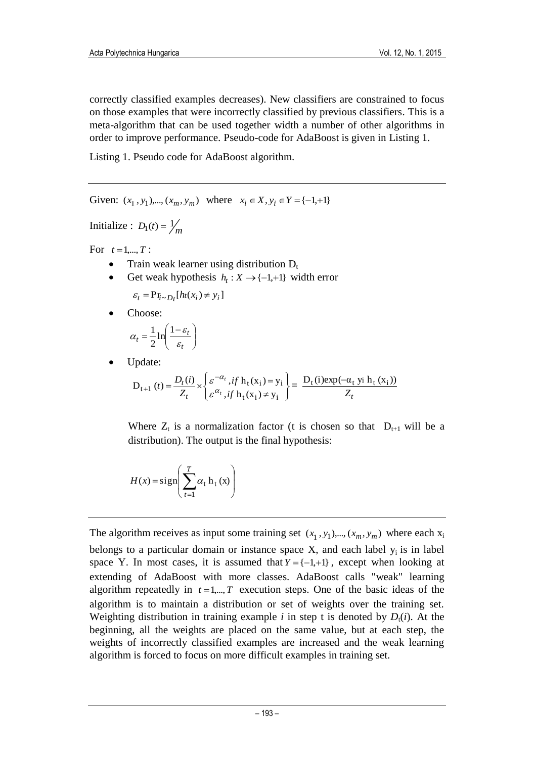correctly classified examples decreases). New classifiers are constrained to focus on those examples that were incorrectly classified by previous classifiers. This is a meta-algorithm that can be used together width a number of other algorithms in order to improve performance. Pseudo-code for AdaBoost is given in Listing 1.

Listing 1. Pseudo code for AdaBoost algorithm.

Given:  $(x_1, y_1)$ ,...,  $(x_m, y_m)$  where  $x_i \in X, y_i \in Y = \{-1, +1\}$ 

Initialize :  $D_1(t) = \frac{1}{m}$ 

For  $t = 1, ..., T$ :

- Train weak learner using distribution  $D_t$
- Get weak hypothesis  $h_t: X \to \{-1, +1\}$  width error

 $\varepsilon_t = \Pr_{i \sim D_t}[h_t(x_i) \neq y_i]$ 

Choose:

$$
\alpha_t = \frac{1}{2} \ln \left( \frac{1 - \varepsilon_t}{\varepsilon_t} \right)
$$

Update:

$$
D_{t+1}(t) = \frac{D_t(i)}{Z_t} \times \begin{cases} \varepsilon^{-\alpha_t}, & \text{if } h_t(x_i) = y_i \\ \varepsilon^{\alpha_t}, & \text{if } h_t(x_i) \neq y_i \end{cases} = \frac{D_t(i) \exp(-\alpha_t y_i h_t(x_i))}{Z_t}
$$

Where  $Z_t$  is a normalization factor (t is chosen so that  $D_{t+1}$  will be a distribution). The output is the final hypothesis:

$$
H(x) = sign\left(\sum_{t=1}^{T} \alpha_t \mathbf{h}_t(x)\right)
$$

The algorithm receives as input some training set  $(x_1, y_1), \dots, (x_m, y_m)$  where each  $x_i$ belongs to a particular domain or instance space  $X$ , and each label  $y_i$  is in label space Y. In most cases, it is assumed that  $Y = \{-1, +1\}$ , except when looking at extending of AdaBoost with more classes. AdaBoost calls "weak" learning algorithm repeatedly in  $t = 1, \ldots, T$  execution steps. One of the basic ideas of the algorithm is to maintain a distribution or set of weights over the training set. Weighting distribution in training example  $i$  in step t is denoted by  $D_t(i)$ . At the beginning, all the weights are placed on the same value, but at each step, the weights of incorrectly classified examples are increased and the weak learning algorithm is forced to focus on more difficult examples in training set.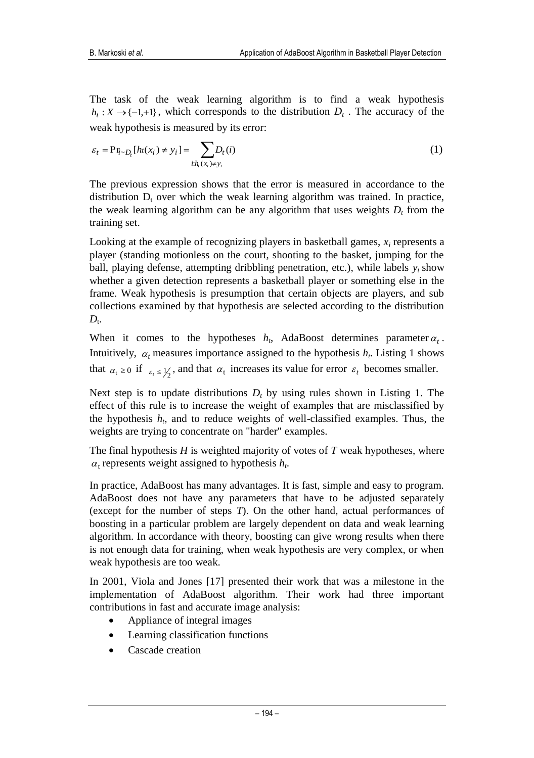The task of the weak learning algorithm is to find a weak hypothesis  $h_t: X \to \{-1, +1\}$ , which corresponds to the distribution  $D_t$ . The accuracy of the weak hypothesis is measured by its error:

$$
\varepsilon_t = \mathbf{P} \mathbf{r}_{i \sim D_t} [h_t(x_i) \neq y_i] = \sum_{i: h_t(x_i) \neq y_i} D_t(i)
$$
\n
$$
(1)
$$

The previous expression shows that the error is measured in accordance to the distribution  $D_t$  over which the weak learning algorithm was trained. In practice, the weak learning algorithm can be any algorithm that uses weights  $D<sub>t</sub>$  from the training set.

Looking at the example of recognizing players in basketball games, *x<sup>i</sup>* represents a player (standing motionless on the court, shooting to the basket, jumping for the ball, playing defense, attempting dribbling penetration, etc.), while labels  $y_i$  show whether a given detection represents a basketball player or something else in the frame. Weak hypothesis is presumption that certain objects are players, and sub collections examined by that hypothesis are selected according to the distribution  $D_{t}$ .

When it comes to the hypotheses  $h_t$ , AdaBoost determines parameter  $\alpha_t$ . Intuitively,  $\alpha_t$  measures importance assigned to the hypothesis  $h_t$ . Listing 1 shows that  $\alpha_t \ge 0$  if  $\epsilon_t \le \frac{1}{2}$ , and that  $\alpha_t$  increases its value for error  $\epsilon_t$  becomes smaller.

Next step is to update distributions  $D_t$  by using rules shown in Listing 1. The effect of this rule is to increase the weight of examples that are misclassified by the hypothesis  $h_t$ , and to reduce weights of well-classified examples. Thus, the weights are trying to concentrate on "harder" examples.

The final hypothesis *H* is weighted majority of votes of *T* weak hypotheses, where  $\alpha_t$  represents weight assigned to hypothesis  $h_t$ .

In practice, AdaBoost has many advantages. It is fast, simple and easy to program. AdaBoost does not have any parameters that have to be adjusted separately (except for the number of steps *T*). On the other hand, actual performances of boosting in a particular problem are largely dependent on data and weak learning algorithm. In accordance with theory, boosting can give wrong results when there is not enough data for training, when weak hypothesis are very complex, or when weak hypothesis are too weak.

In 2001, Viola and Jones [17] presented their work that was a milestone in the implementation of AdaBoost algorithm. Their work had three important contributions in fast and accurate image analysis:

- Appliance of integral images
- Learning classification functions
- Cascade creation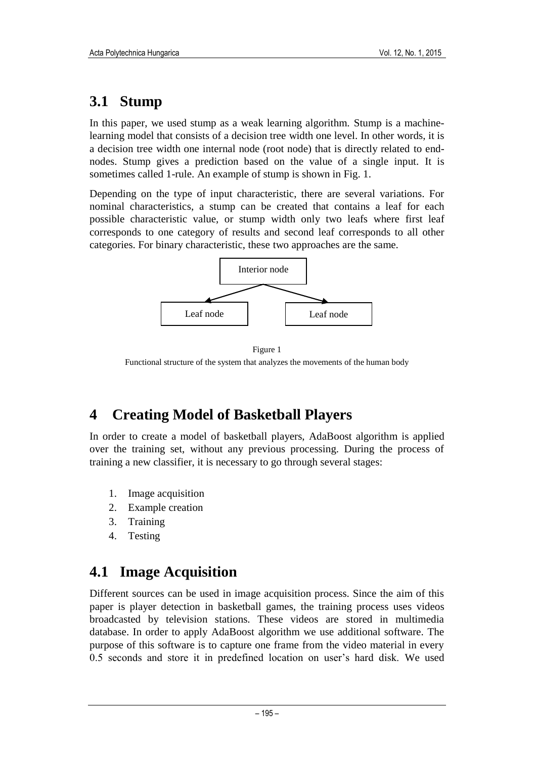### **3.1 Stump**

In this paper, we used stump as a weak learning algorithm. Stump is a machinelearning model that consists of a decision tree width one level. In other words, it is a decision tree width one internal node (root node) that is directly related to endnodes. Stump gives a prediction based on the value of a single input. It is sometimes called 1-rule. An example of stump is shown in Fig. 1.

Depending on the type of input characteristic, there are several variations. For nominal characteristics, a stump can be created that contains a leaf for each possible characteristic value, or stump width only two leafs where first leaf corresponds to one category of results and second leaf corresponds to all other categories. For binary characteristic, these two approaches are the same.



Figure 1 Functional structure of the system that analyzes the movements of the human body

## **4 Creating Model of Basketball Players**

In order to create a model of basketball players, AdaBoost algorithm is applied over the training set, without any previous processing. During the process of training a new classifier, it is necessary to go through several stages:

- 1. Image acquisition
- 2. Example creation
- 3. Training
- 4. Testing

## **4.1 Image Acquisition**

Different sources can be used in image acquisition process. Since the aim of this paper is player detection in basketball games, the training process uses videos broadcasted by television stations. These videos are stored in multimedia database. In order to apply AdaBoost algorithm we use additional software. The purpose of this software is to capture one frame from the video material in every 0.5 seconds and store it in predefined location on user's hard disk. We used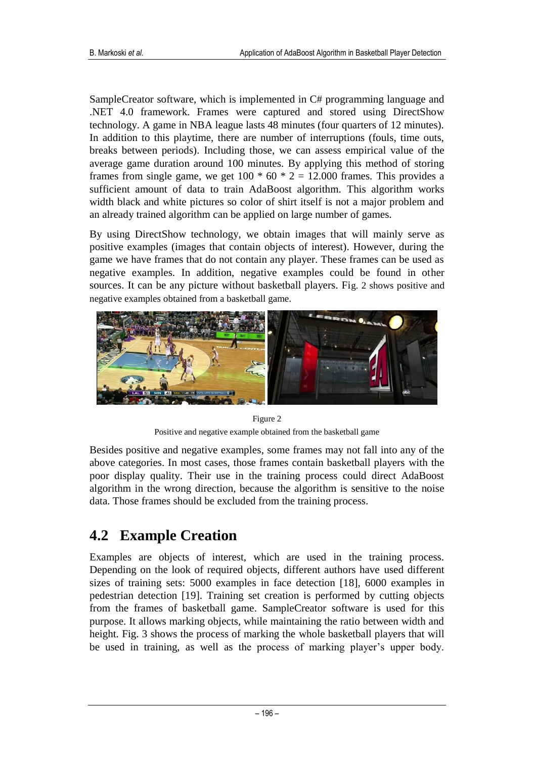SampleCreator software, which is implemented in C# programming language and .NET 4.0 framework. Frames were captured and stored using DirectShow technology. A game in NBA league lasts 48 minutes (four quarters of 12 minutes). In addition to this playtime, there are number of interruptions (fouls, time outs, breaks between periods). Including those, we can assess empirical value of the average game duration around 100 minutes. By applying this method of storing frames from single game, we get  $100 * 60 * 2 = 12.000$  frames. This provides a sufficient amount of data to train AdaBoost algorithm. This algorithm works width black and white pictures so color of shirt itself is not a major problem and an already trained algorithm can be applied on large number of games.

By using DirectShow technology, we obtain images that will mainly serve as positive examples (images that contain objects of interest). However, during the game we have frames that do not contain any player. These frames can be used as negative examples. In addition, negative examples could be found in other sources. It can be any picture without basketball players. Fig. 2 shows positive and negative examples obtained from a basketball game.



Figure 2

Positive and negative example obtained from the basketball game

Besides positive and negative examples, some frames may not fall into any of the above categories. In most cases, those frames contain basketball players with the poor display quality. Their use in the training process could direct AdaBoost algorithm in the wrong direction, because the algorithm is sensitive to the noise data. Those frames should be excluded from the training process.

## **4.2 Example Creation**

Examples are objects of interest, which are used in the training process. Depending on the look of required objects, different authors have used different sizes of training sets: 5000 examples in face detection [18], 6000 examples in pedestrian detection [19]. Training set creation is performed by cutting objects from the frames of basketball game. SampleCreator software is used for this purpose. It allows marking objects, while maintaining the ratio between width and height. Fig. 3 shows the process of marking the whole basketball players that will be used in training, as well as the process of marking player's upper body.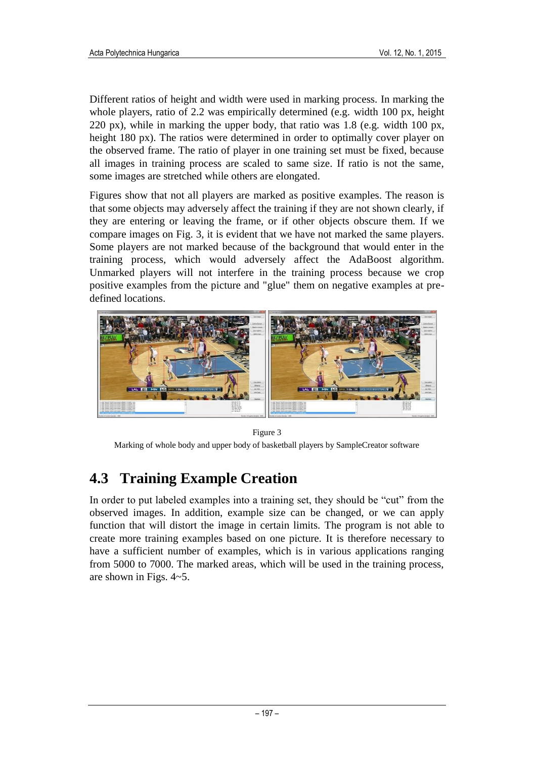Different ratios of height and width were used in marking process. In marking the whole players, ratio of 2.2 was empirically determined (e.g. width 100 px, height 220 px), while in marking the upper body, that ratio was  $1.8$  (e.g. width 100 px, height 180 px). The ratios were determined in order to optimally cover player on the observed frame. The ratio of player in one training set must be fixed, because all images in training process are scaled to same size. If ratio is not the same, some images are stretched while others are elongated.

Figures show that not all players are marked as positive examples. The reason is that some objects may adversely affect the training if they are not shown clearly, if they are entering or leaving the frame, or if other objects obscure them. If we compare images on Fig. 3, it is evident that we have not marked the same players. Some players are not marked because of the background that would enter in the training process, which would adversely affect the AdaBoost algorithm. Unmarked players will not interfere in the training process because we crop positive examples from the picture and "glue" them on negative examples at predefined locations.



#### Figure 3

Marking of whole body and upper body of basketball players by SampleCreator software

## **4.3 Training Example Creation**

In order to put labeled examples into a training set, they should be "cut" from the observed images. In addition, example size can be changed, or we can apply function that will distort the image in certain limits. The program is not able to create more training examples based on one picture. It is therefore necessary to have a sufficient number of examples, which is in various applications ranging from 5000 to 7000. The marked areas, which will be used in the training process, are shown in Figs. 4~5.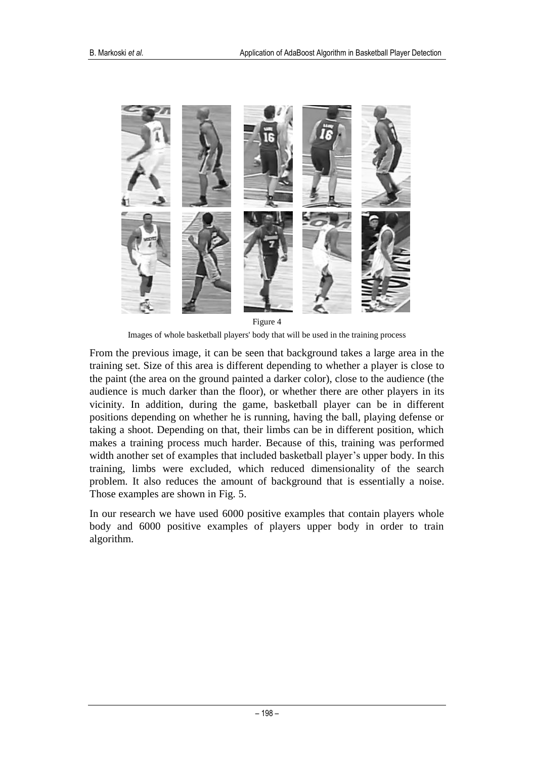

Images of whole basketball players' body that will be used in the training process

From the previous image, it can be seen that background takes a large area in the training set. Size of this area is different depending to whether a player is close to the paint (the area on the ground painted a darker color), close to the audience (the audience is much darker than the floor), or whether there are other players in its vicinity. In addition, during the game, basketball player can be in different positions depending on whether he is running, having the ball, playing defense or taking a shoot. Depending on that, their limbs can be in different position, which makes a training process much harder. Because of this, training was performed width another set of examples that included basketball player's upper body. In this training, limbs were excluded, which reduced dimensionality of the search problem. It also reduces the amount of background that is essentially a noise. Those examples are shown in Fig. 5.

In our research we have used 6000 positive examples that contain players whole body and 6000 positive examples of players upper body in order to train algorithm.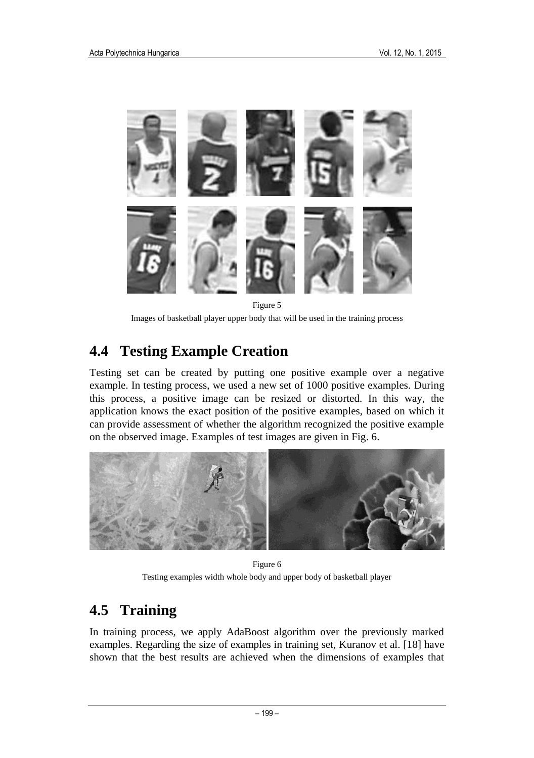

Figure 5

Images of basketball player upper body that will be used in the training process

### **4.4 Testing Example Creation**

Testing set can be created by putting one positive example over a negative example. In testing process, we used a new set of 1000 positive examples. During this process, a positive image can be resized or distorted. In this way, the application knows the exact position of the positive examples, based on which it can provide assessment of whether the algorithm recognized the positive example on the observed image. Examples of test images are given in Fig. 6.



Figure 6 Testing examples width whole body and upper body of basketball player

### **4.5 Training**

In training process, we apply AdaBoost algorithm over the previously marked examples. Regarding the size of examples in training set, Kuranov et al. [18] have shown that the best results are achieved when the dimensions of examples that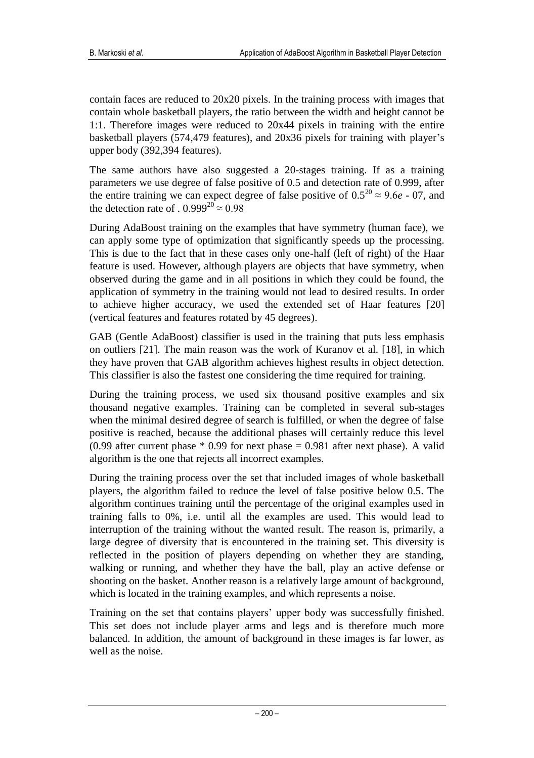contain faces are reduced to 20x20 pixels. In the training process with images that contain whole basketball players, the ratio between the width and height cannot be 1:1. Therefore images were reduced to 20x44 pixels in training with the entire basketball players (574,479 features), and 20x36 pixels for training with player's upper body (392,394 features).

The same authors have also suggested a 20-stages training. If as a training parameters we use degree of false positive of 0.5 and detection rate of 0.999, after the entire training we can expect degree of false positive of  $0.5^{20} \approx 9.6e - 07$ , and the detection rate of .  $0.999^{20} \approx 0.98$ 

During AdaBoost training on the examples that have symmetry (human face), we can apply some type of optimization that significantly speeds up the processing. This is due to the fact that in these cases only one-half (left of right) of the Haar feature is used. However, although players are objects that have symmetry, when observed during the game and in all positions in which they could be found, the application of symmetry in the training would not lead to desired results. In order to achieve higher accuracy, we used the extended set of Haar features [20] (vertical features and features rotated by 45 degrees).

GAB (Gentle AdaBoost) classifier is used in the training that puts less emphasis on outliers [21]. The main reason was the work of Kuranov et al. [18], in which they have proven that GAB algorithm achieves highest results in object detection. This classifier is also the fastest one considering the time required for training.

During the training process, we used six thousand positive examples and six thousand negative examples. Training can be completed in several sub-stages when the minimal desired degree of search is fulfilled, or when the degree of false positive is reached, because the additional phases will certainly reduce this level (0.99 after current phase  $*$  0.99 for next phase = 0.981 after next phase). A valid algorithm is the one that rejects all incorrect examples.

During the training process over the set that included images of whole basketball players, the algorithm failed to reduce the level of false positive below 0.5. The algorithm continues training until the percentage of the original examples used in training falls to 0%, i.e. until all the examples are used. This would lead to interruption of the training without the wanted result. The reason is, primarily, a large degree of diversity that is encountered in the training set. This diversity is reflected in the position of players depending on whether they are standing, walking or running, and whether they have the ball, play an active defense or shooting on the basket. Another reason is a relatively large amount of background, which is located in the training examples, and which represents a noise.

Training on the set that contains players' upper body was successfully finished. This set does not include player arms and legs and is therefore much more balanced. In addition, the amount of background in these images is far lower, as well as the noise.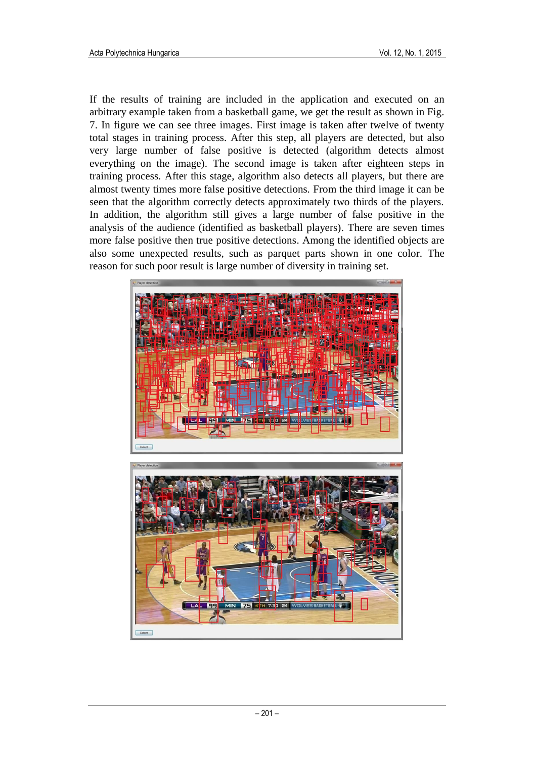If the results of training are included in the application and executed on an arbitrary example taken from a basketball game, we get the result as shown in Fig. 7. In figure we can see three images. First image is taken after twelve of twenty total stages in training process. After this step, all players are detected, but also very large number of false positive is detected (algorithm detects almost everything on the image). The second image is taken after eighteen steps in training process. After this stage, algorithm also detects all players, but there are almost twenty times more false positive detections. From the third image it can be seen that the algorithm correctly detects approximately two thirds of the players. In addition, the algorithm still gives a large number of false positive in the analysis of the audience (identified as basketball players). There are seven times more false positive then true positive detections. Among the identified objects are also some unexpected results, such as parquet parts shown in one color. The reason for such poor result is large number of diversity in training set.



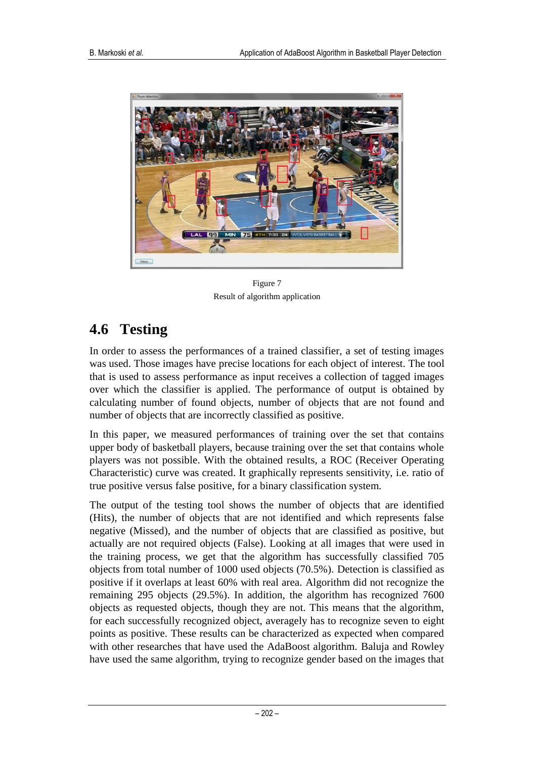

Figure 7 Result of algorithm application

# **4.6 Testing**

In order to assess the performances of a trained classifier, a set of testing images was used. Those images have precise locations for each object of interest. The tool that is used to assess performance as input receives a collection of tagged images over which the classifier is applied. The performance of output is obtained by calculating number of found objects, number of objects that are not found and number of objects that are incorrectly classified as positive.

In this paper, we measured performances of training over the set that contains upper body of basketball players, because training over the set that contains whole players was not possible. With the obtained results, a ROC (Receiver Operating Characteristic) curve was created. It graphically represents sensitivity, i.e. ratio of true positive versus false positive, for a binary classification system.

The output of the testing tool shows the number of objects that are identified (Hits), the number of objects that are not identified and which represents false negative (Missed), and the number of objects that are classified as positive, but actually are not required objects (False). Looking at all images that were used in the training process, we get that the algorithm has successfully classified 705 objects from total number of 1000 used objects (70.5%). Detection is classified as positive if it overlaps at least 60% with real area. Algorithm did not recognize the remaining 295 objects (29.5%). In addition, the algorithm has recognized 7600 objects as requested objects, though they are not. This means that the algorithm, for each successfully recognized object, averagely has to recognize seven to eight points as positive. These results can be characterized as expected when compared with other researches that have used the AdaBoost algorithm. Baluja and Rowley have used the same algorithm, trying to recognize gender based on the images that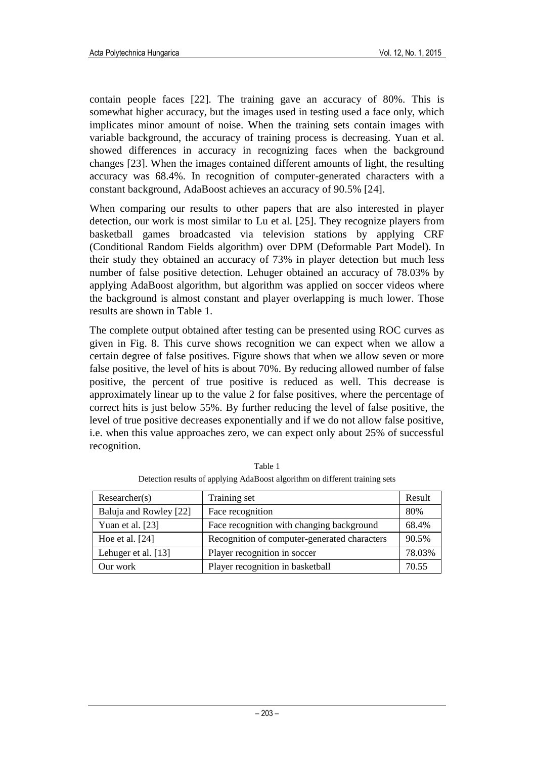contain people faces [22]. The training gave an accuracy of 80%. This is somewhat higher accuracy, but the images used in testing used a face only, which implicates minor amount of noise. When the training sets contain images with variable background, the accuracy of training process is decreasing. Yuan et al. showed differences in accuracy in recognizing faces when the background changes [23]. When the images contained different amounts of light, the resulting accuracy was 68.4%. In recognition of computer-generated characters with a constant background, AdaBoost achieves an accuracy of 90.5% [24].

When comparing our results to other papers that are also interested in player detection, our work is most similar to Lu et al. [25]. They recognize players from basketball games broadcasted via television stations by applying CRF (Conditional Random Fields algorithm) over DPM (Deformable Part Model). In their study they obtained an accuracy of 73% in player detection but much less number of false positive detection. Lehuger obtained an accuracy of 78.03% by applying AdaBoost algorithm, but algorithm was applied on soccer videos where the background is almost constant and player overlapping is much lower. Those results are shown in Table 1.

The complete output obtained after testing can be presented using ROC curves as given in Fig. 8. This curve shows recognition we can expect when we allow a certain degree of false positives. Figure shows that when we allow seven or more false positive, the level of hits is about 70%. By reducing allowed number of false positive, the percent of true positive is reduced as well. This decrease is approximately linear up to the value 2 for false positives, where the percentage of correct hits is just below 55%. By further reducing the level of false positive, the level of true positive decreases exponentially and if we do not allow false positive, i.e. when this value approaches zero, we can expect only about 25% of successful recognition.

| Researcher(s)          | Training set                                 | Result |
|------------------------|----------------------------------------------|--------|
| Baluja and Rowley [22] | Face recognition                             | 80%    |
| Yuan et al. [23]       | Face recognition with changing background    | 68.4%  |
| Hoe et al. $[24]$      | Recognition of computer-generated characters | 90.5%  |
| Lehuger et al. [13]    | Player recognition in soccer                 | 78.03% |
| Our work               | Player recognition in basketball             | 70.55  |

Table 1 Detection results of applying AdaBoost algorithm on different training sets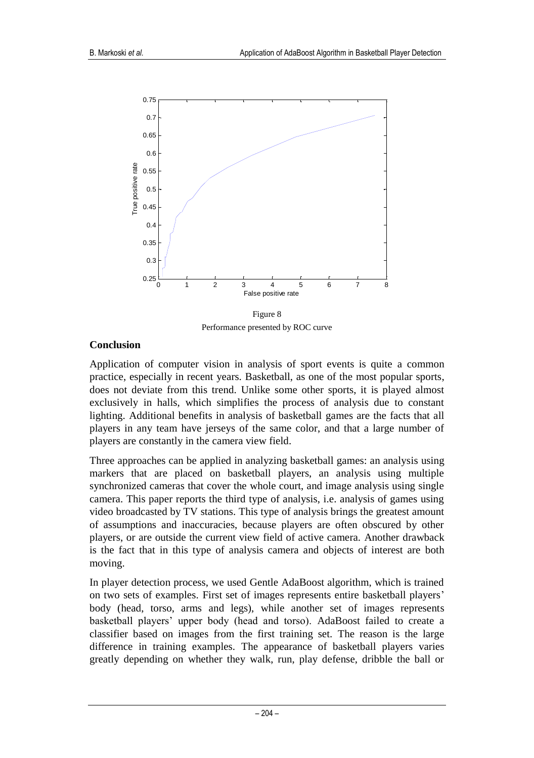

Performance presented by ROC curve

#### **Conclusion**

Application of computer vision in analysis of sport events is quite a common practice, especially in recent years. Basketball, as one of the most popular sports, does not deviate from this trend. Unlike some other sports, it is played almost exclusively in halls, which simplifies the process of analysis due to constant lighting. Additional benefits in analysis of basketball games are the facts that all players in any team have jerseys of the same color, and that a large number of players are constantly in the camera view field.

Three approaches can be applied in analyzing basketball games: an analysis using markers that are placed on basketball players, an analysis using multiple synchronized cameras that cover the whole court, and image analysis using single camera. This paper reports the third type of analysis, i.e. analysis of games using video broadcasted by TV stations. This type of analysis brings the greatest amount of assumptions and inaccuracies, because players are often obscured by other players, or are outside the current view field of active camera. Another drawback is the fact that in this type of analysis camera and objects of interest are both moving.

In player detection process, we used Gentle AdaBoost algorithm, which is trained on two sets of examples. First set of images represents entire basketball players' body (head, torso, arms and legs), while another set of images represents basketball players' upper body (head and torso). AdaBoost failed to create a classifier based on images from the first training set. The reason is the large difference in training examples. The appearance of basketball players varies greatly depending on whether they walk, run, play defense, dribble the ball or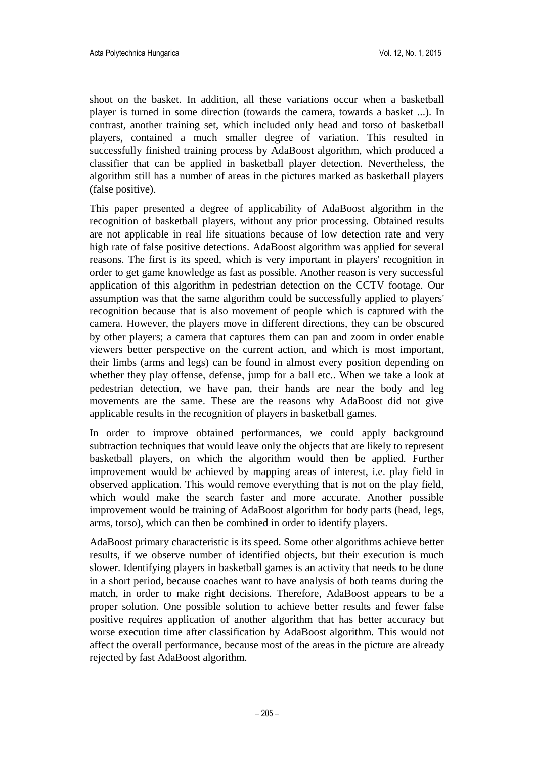shoot on the basket. In addition, all these variations occur when a basketball player is turned in some direction (towards the camera, towards a basket ...). In contrast, another training set, which included only head and torso of basketball players, contained a much smaller degree of variation. This resulted in successfully finished training process by AdaBoost algorithm, which produced a classifier that can be applied in basketball player detection. Nevertheless, the algorithm still has a number of areas in the pictures marked as basketball players (false positive).

This paper presented a degree of applicability of AdaBoost algorithm in the recognition of basketball players, without any prior processing. Obtained results are not applicable in real life situations because of low detection rate and very high rate of false positive detections. AdaBoost algorithm was applied for several reasons. The first is its speed, which is very important in players' recognition in order to get game knowledge as fast as possible. Another reason is very successful application of this algorithm in pedestrian detection on the CCTV footage. Our assumption was that the same algorithm could be successfully applied to players' recognition because that is also movement of people which is captured with the camera. However, the players move in different directions, they can be obscured by other players; a camera that captures them can pan and zoom in order enable viewers better perspective on the current action, and which is most important, their limbs (arms and legs) can be found in almost every position depending on whether they play offense, defense, jump for a ball etc.. When we take a look at pedestrian detection, we have pan, their hands are near the body and leg movements are the same. These are the reasons why AdaBoost did not give applicable results in the recognition of players in basketball games.

In order to improve obtained performances, we could apply background subtraction techniques that would leave only the objects that are likely to represent basketball players, on which the algorithm would then be applied. Further improvement would be achieved by mapping areas of interest, i.e. play field in observed application. This would remove everything that is not on the play field, which would make the search faster and more accurate. Another possible improvement would be training of AdaBoost algorithm for body parts (head, legs, arms, torso), which can then be combined in order to identify players.

AdaBoost primary characteristic is its speed. Some other algorithms achieve better results, if we observe number of identified objects, but their execution is much slower. Identifying players in basketball games is an activity that needs to be done in a short period, because coaches want to have analysis of both teams during the match, in order to make right decisions. Therefore, AdaBoost appears to be a proper solution. One possible solution to achieve better results and fewer false positive requires application of another algorithm that has better accuracy but worse execution time after classification by AdaBoost algorithm. This would not affect the overall performance, because most of the areas in the picture are already rejected by fast AdaBoost algorithm.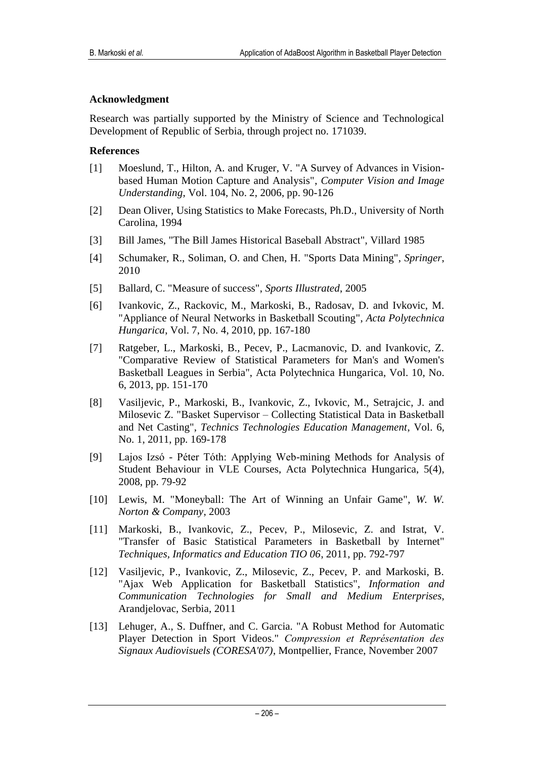#### **Acknowledgment**

Research was partially supported by the Ministry of Science and Technological Development of Republic of Serbia, through project no. 171039.

#### **References**

- [1] Moeslund, T., Hilton, A. and Kruger, V. "A Survey of Advances in Visionbased Human Motion Capture and Analysis", *Computer Vision and Image Understanding*, Vol. 104, No. 2, 2006, pp. 90-126
- [2] Dean Oliver, Using Statistics to Make Forecasts, Ph.D., University of North Carolina, 1994
- [3] Bill James, "The Bill James Historical Baseball Abstract", Villard 1985
- [4] Schumaker, R., Soliman, O. and Chen, H. "Sports Data Mining", *Springer*, 2010
- [5] Ballard, C. "Measure of success", *Sports Illustrated*, 2005
- [6] Ivankovic, Z., Rackovic, M., Markoski, B., Radosav, D. and Ivkovic, M. "Appliance of Neural Networks in Basketball Scouting", *Acta Polytechnica Hungarica*, Vol. 7, No. 4, 2010, pp. 167-180
- [7] Ratgeber, L., Markoski, B., Pecev, P., Lacmanovic, D. and Ivankovic, Z. "Comparative Review of Statistical Parameters for Man's and Women's Basketball Leagues in Serbia", Acta Polytechnica Hungarica, Vol. 10, No. 6, 2013, pp. 151-170
- [8] Vasiljevic, P., Markoski, B., Ivankovic, Z., Ivkovic, M., Setrajcic, J. and Milosevic Z. "Basket Supervisor – Collecting Statistical Data in Basketball and Net Casting", *Technics Technologies Education Management*, Vol. 6, No. 1, 2011, pp. 169-178
- [9] Lajos Izsó Péter Tóth: Applying Web-mining Methods for Analysis of Student Behaviour in VLE Courses, Acta Polytechnica Hungarica, 5(4), 2008, pp. 79-92
- [10] Lewis, M. "Moneyball: The Art of Winning an Unfair Game", *W. W. Norton & Company*, 2003
- [11] Markoski, B., Ivankovic, Z., Pecev, P., Milosevic, Z. and Istrat, V. "Transfer of Basic Statistical Parameters in Basketball by Internet" *Techniques, Informatics and Education TIO 06*, 2011, pp. 792-797
- [12] Vasiljevic, P., Ivankovic, Z., Milosevic, Z., Pecev, P. and Markoski, B. "Ajax Web Application for Basketball Statistics", *Information and Communication Technologies for Small and Medium Enterprises*, Arandjelovac, Serbia, 2011
- [13] Lehuger, A., S. Duffner, and C. Garcia. "A Robust Method for Automatic Player Detection in Sport Videos." *Compression et Représentation des Signaux Audiovisuels (CORESA'07)*, Montpellier, France, November 2007